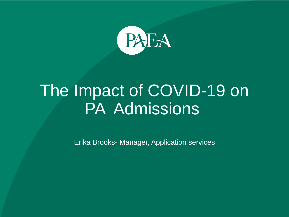

# The Impact of COVID-19 on PA Admissions

Erika Brooks- Manager, Application services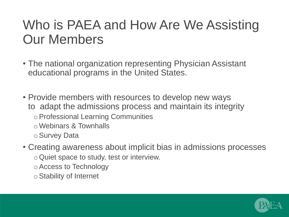### Who is PAEA and How Are We Assisting Our Members

- The national organization representing Physician Assistant educational programs in the United States.
- Provide members with resources to develop new ways to adapt the admissions process and maintain its integrity
	- oProfessional Learning Communities
	- oWebinars & Townhalls
	- oSurvey Data
- Creating awareness about implicit bias in admissions processes
	- oQuiet space to study, test or interview.
	- oAccess to Technology
	- oStability of Internet

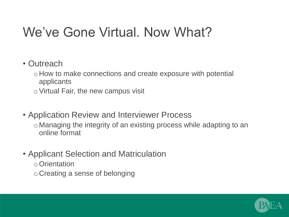### We've Gone Virtual. Now What?

- Outreach
	- o How to make connections and create exposure with potential applicants
	- $\circ$  Virtual Fair, the new campus visit
- Application Review and Interviewer Process
	- o Managing the integrity of an existing process while adapting to an online format
- Applicant Selection and Matriculation
	- oOrientation
	- o Creating a sense of belonging

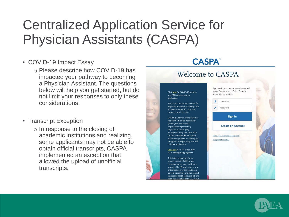### Centralized Application Service for Physician Assistants (CASPA)

- COVID-19 Impact Essay
	- o Please describe how COVID-19 has impacted your pathway to becoming a Physician Assistant. The questions below will help you get started, but do not limit your responses to only these considerations.
- Transcript Exception
	- o In response to the closing of academic institutions and realizing, some applicants may not be able to obtain official transcripts, CASPA implemented an exception that allowed the upload of unofficial transcripts.

### **CASPA** Welcome to CASPA Sign in with your username and password below. First time here? Select Create an Click here for COVID-19 updates Account to get started. and FAOs related to your application. Username The Central Application Service for Physician Assistants (CASPA) Cycle Password 20 opens on April 30, 2020 and closes on April 15, 2021. Sign In CASPA is a service of the Physician **Assistant Education Association** (PAEA), the only national **Create an Account** organization representing physician assistant (PA) educational programs since 2001. CASPA simplifies the PA school Forgot your username or password application process by allowing you **Reapplying to CASPA?** to apply to multiple programs with only one application. Click here for a list of the 2020 -2021 participating programs. This is the beginning of your journey toward a fulfilling and respected career as a health care provider. The PA profession is one of the fastest growing health care careers nationwide and was ranked

the second best health care job and rd best job of 2020 by U.S. Ne

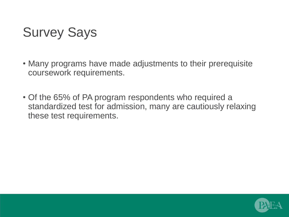## Survey Says

- Many programs have made adjustments to their prerequisite coursework requirements.
- Of the 65% of PA program respondents who required a standardized test for admission, many are cautiously relaxing these test requirements.

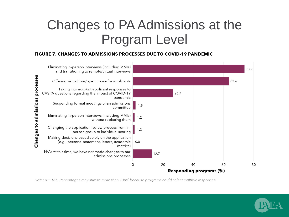### Changes to PA Admissions at the Program Level

### **FIGURE 7. CHANGES TO ADMISSIONS PROCESSES DUE TO COVID-19 PANDEMIC**



Note:  $n = 165$ . Percentages may sum to more than 100% because programs could select multiple responses.